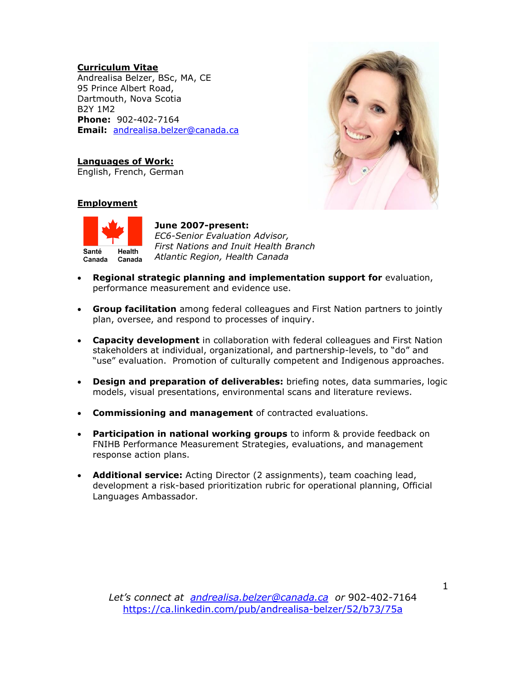### **Curriculum Vitae**

Andrealisa Belzer, BSc, MA, CE 95 Prince Albert Road, Dartmouth, Nova Scotia B2Y 1M2 **Phone:** 902-402-7164 **Email:** [andrealisa.belzer@canada.ca](mailto:andrealisa.belzer@canada.ca)

**Languages of Work:**

English, French, German



## **Employment**



**June 2007-present:** *EC6-Senior Evaluation Advisor, First Nations and Inuit Health Branch Atlantic Region, Health Canada*

- **Regional strategic planning and implementation support for** evaluation, performance measurement and evidence use.
- **Group facilitation** among federal colleagues and First Nation partners to jointly plan, oversee, and respond to processes of inquiry.
- **Capacity development** in collaboration with federal colleagues and First Nation stakeholders at individual, organizational, and partnership-levels, to "do" and "use" evaluation. Promotion of culturally competent and Indigenous approaches.
- **Design and preparation of deliverables:** briefing notes, data summaries, logic models, visual presentations, environmental scans and literature reviews.
- **Commissioning and management** of contracted evaluations.
- **Participation in national working groups** to inform & provide feedback on FNIHB Performance Measurement Strategies, evaluations, and management response action plans.
- **Additional service:** Acting Director (2 assignments), team coaching lead, development a risk-based prioritization rubric for operational planning, Official Languages Ambassador.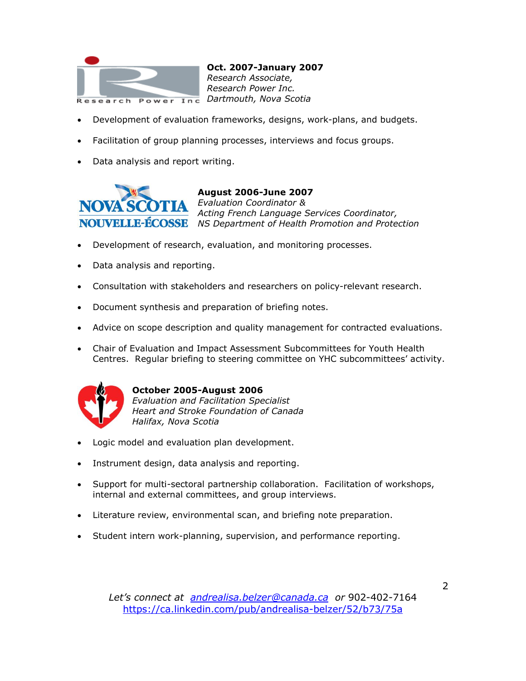

**Oct. 2007-January 2007** *Research Associate, Research Power Inc.*

- Development of evaluation frameworks, designs, work-plans, and budgets.
- Facilitation of group planning processes, interviews and focus groups.
- Data analysis and report writing.



## **August 2006-June 2007** *Evaluation Coordinator & Acting French Language Services Coordinator,* **NOUVELLE-ÉCOSSE** NS Department of Health Promotion and Protection

- Development of research, evaluation, and monitoring processes.
- Data analysis and reporting.
- Consultation with stakeholders and researchers on policy-relevant research.
- Document synthesis and preparation of briefing notes.
- Advice on scope description and quality management for contracted evaluations.
- Chair of Evaluation and Impact Assessment Subcommittees for Youth Health Centres. Regular briefing to steering committee on YHC subcommittees' activity.



#### **October 2005-August 2006**

*Evaluation and Facilitation Specialist Heart and Stroke Foundation of Canada Halifax, Nova Scotia*

- Logic model and evaluation plan development.
- Instrument design, data analysis and reporting.
- Support for multi-sectoral partnership collaboration. Facilitation of workshops, internal and external committees, and group interviews.
- Literature review, environmental scan, and briefing note preparation.
- Student intern work-planning, supervision, and performance reporting.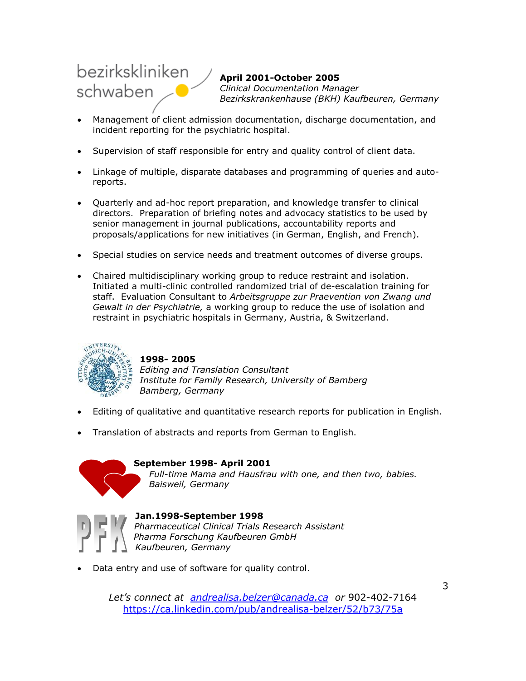# bezirkskliniken schwaben

**April 2001-October 2005** *Clinical Documentation Manager Bezirkskrankenhause (BKH) Kaufbeuren, Germany*

- Management of client admission documentation, discharge documentation, and incident reporting for the psychiatric hospital.
- Supervision of staff responsible for entry and quality control of client data.
- Linkage of multiple, disparate databases and programming of queries and autoreports.
- Quarterly and ad-hoc report preparation, and knowledge transfer to clinical directors. Preparation of briefing notes and advocacy statistics to be used by senior management in journal publications, accountability reports and proposals/applications for new initiatives (in German, English, and French).
- Special studies on service needs and treatment outcomes of diverse groups.
- Chaired multidisciplinary working group to reduce restraint and isolation. Initiated a multi-clinic controlled randomized trial of de-escalation training for staff. Evaluation Consultant to *Arbeitsgruppe zur Praevention von Zwang und Gewalt in der Psychiatrie,* a working group to reduce the use of isolation and restraint in psychiatric hospitals in Germany, Austria, & Switzerland.



#### **1998- 2005**

*Editing and Translation Consultant Institute for Family Research, University of Bamberg Bamberg, Germany*

- Editing of qualitative and quantitative research reports for publication in English.
- Translation of abstracts and reports from German to English.



#### **September 1998- April 2001**

*Full-time Mama and Hausfrau with one, and then two, babies. Baisweil, Germany*



#### **Jan.1998-September 1998**

*Pharmaceutical Clinical Trials Research Assistant Pharma Forschung Kaufbeuren GmbH Kaufbeuren, Germany* 

Data entry and use of software for quality control.

*Let's connect at [andrealisa.belzer@canada.ca](mailto:andrealisa.belzer@canada.ca) or* 902-402-7164 <https://ca.linkedin.com/pub/andrealisa-belzer/52/b73/75a>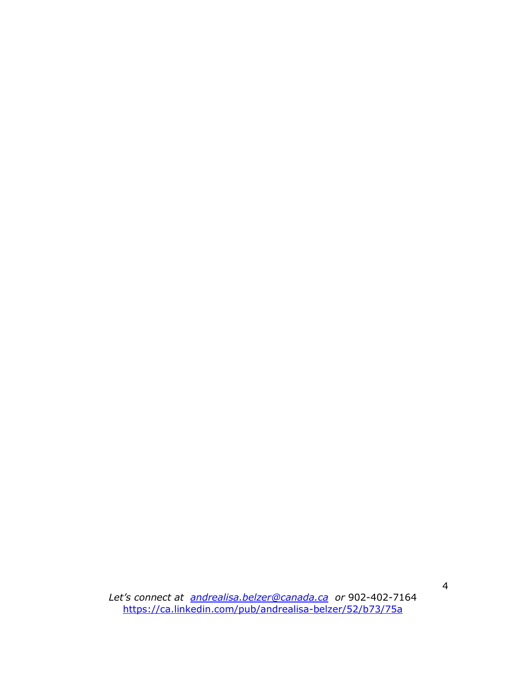*Let's connect at [andrealisa.belzer@canada.ca](mailto:andrealisa.belzer@canada.ca) or* 902-402-7164 <https://ca.linkedin.com/pub/andrealisa-belzer/52/b73/75a>

4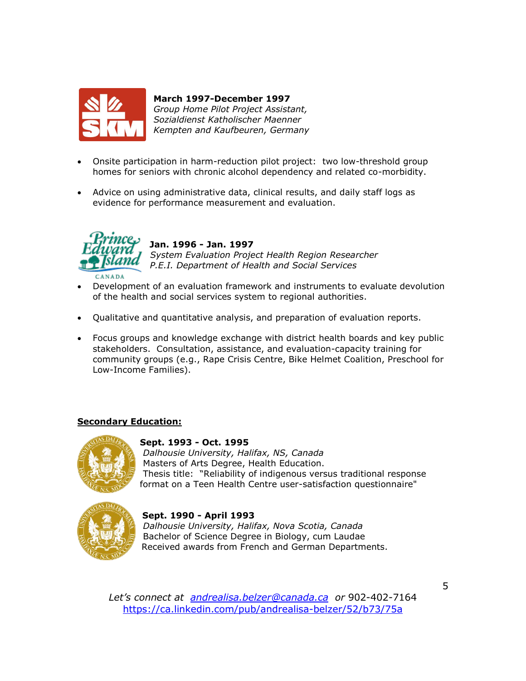

### **March 1997-December 1997**

*Group Home Pilot Project Assistant, Sozialdienst Katholischer Maenner Kempten and Kaufbeuren, Germany*

- Onsite participation in harm-reduction pilot project: two low-threshold group homes for seniors with chronic alcohol dependency and related co-morbidity.
- Advice on using administrative data, clinical results, and daily staff logs as evidence for performance measurement and evaluation.



**Jan. 1996 - Jan. 1997** *System Evaluation Project Health Region Researcher P.E.I. Department of Health and Social Services*

- Development of an evaluation framework and instruments to evaluate devolution of the health and social services system to regional authorities.
- Qualitative and quantitative analysis, and preparation of evaluation reports.
- Focus groups and knowledge exchange with district health boards and key public stakeholders. Consultation, assistance, and evaluation-capacity training for community groups (e.g., Rape Crisis Centre, Bike Helmet Coalition, Preschool for Low-Income Families).

## **Secondary Education:**



#### **Sept. 1993 - Oct. 1995**

*Dalhousie University, Halifax, NS, Canada* Masters of Arts Degree, Health Education. Thesis title: "Reliability of indigenous versus traditional response format on a Teen Health Centre user-satisfaction questionnaire"



#### **Sept. 1990 - April 1993**

*Dalhousie University, Halifax, Nova Scotia, Canada* Bachelor of Science Degree in Biology, cum Laudae Received awards from French and German Departments.

*Let's connect at [andrealisa.belzer@canada.ca](mailto:andrealisa.belzer@canada.ca) or* 902-402-7164 <https://ca.linkedin.com/pub/andrealisa-belzer/52/b73/75a>